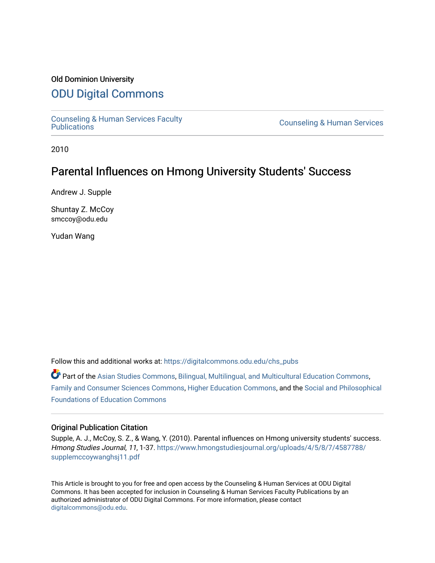# Old Dominion University

# [ODU Digital Commons](https://digitalcommons.odu.edu/)

[Counseling & Human Services Faculty](https://digitalcommons.odu.edu/chs_pubs) 

**Counseling & Human Services** 

2010

# Parental Influences on Hmong University Students' Success

Andrew J. Supple

Shuntay Z. McCoy smccoy@odu.edu

Yudan Wang

Follow this and additional works at: [https://digitalcommons.odu.edu/chs\\_pubs](https://digitalcommons.odu.edu/chs_pubs?utm_source=digitalcommons.odu.edu%2Fchs_pubs%2F76&utm_medium=PDF&utm_campaign=PDFCoverPages)

Part of the [Asian Studies Commons,](http://network.bepress.com/hgg/discipline/361?utm_source=digitalcommons.odu.edu%2Fchs_pubs%2F76&utm_medium=PDF&utm_campaign=PDFCoverPages) [Bilingual, Multilingual, and Multicultural Education Commons](http://network.bepress.com/hgg/discipline/785?utm_source=digitalcommons.odu.edu%2Fchs_pubs%2F76&utm_medium=PDF&utm_campaign=PDFCoverPages), [Family and Consumer Sciences Commons,](http://network.bepress.com/hgg/discipline/1055?utm_source=digitalcommons.odu.edu%2Fchs_pubs%2F76&utm_medium=PDF&utm_campaign=PDFCoverPages) [Higher Education Commons,](http://network.bepress.com/hgg/discipline/1245?utm_source=digitalcommons.odu.edu%2Fchs_pubs%2F76&utm_medium=PDF&utm_campaign=PDFCoverPages) and the [Social and Philosophical](http://network.bepress.com/hgg/discipline/799?utm_source=digitalcommons.odu.edu%2Fchs_pubs%2F76&utm_medium=PDF&utm_campaign=PDFCoverPages)  [Foundations of Education Commons](http://network.bepress.com/hgg/discipline/799?utm_source=digitalcommons.odu.edu%2Fchs_pubs%2F76&utm_medium=PDF&utm_campaign=PDFCoverPages)

### Original Publication Citation

Supple, A. J., McCoy, S. Z., & Wang, Y. (2010). Parental influences on Hmong university students' success. Hmong Studies Journal, 11, 1-37. [https://www.hmongstudiesjournal.org/uploads/4/5/8/7/4587788/](https://www.hmongstudiesjournal.org/uploads/4/5/8/7/4587788/supplemccoywanghsj11.pdf) [supplemccoywanghsj11.pdf](https://www.hmongstudiesjournal.org/uploads/4/5/8/7/4587788/supplemccoywanghsj11.pdf) 

This Article is brought to you for free and open access by the Counseling & Human Services at ODU Digital Commons. It has been accepted for inclusion in Counseling & Human Services Faculty Publications by an authorized administrator of ODU Digital Commons. For more information, please contact [digitalcommons@odu.edu](mailto:digitalcommons@odu.edu).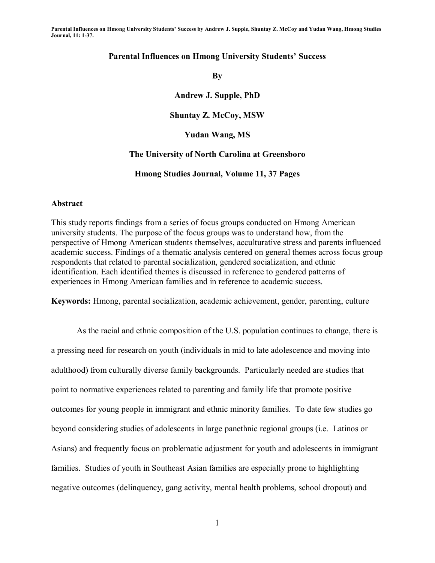### **Parental Influences on Hmong University Students' Success**

**By** 

**Andrew J. Supple, PhD** 

**Shuntay Z. McCoy, MSW** 

**Yudan Wang, MS** 

### **The University of North Carolina at Greensboro**

**Hmong Studies Journal, Volume 11, 37 Pages** 

### **Abstract**

This study reports findings from a series of focus groups conducted on Hmong American university students. The purpose of the focus groups was to understand how, from the perspective of Hmong American students themselves, acculturative stress and parents influenced academic success. Findings of a thematic analysis centered on general themes across focus group respondents that related to parental socialization, gendered socialization, and ethnic identification. Each identified themes is discussed in reference to gendered patterns of experiences in Hmong American families and in reference to academic success.

**Keywords:** Hmong, parental socialization, academic achievement, gender, parenting, culture

As the racial and ethnic composition of the U.S. population continues to change, there is a pressing need for research on youth (individuals in mid to late adolescence and moving into adulthood) from culturally diverse family backgrounds. Particularly needed are studies that point to normative experiences related to parenting and family life that promote positive outcomes for young people in immigrant and ethnic minority families. To date few studies go beyond considering studies of adolescents in large panethnic regional groups (i.e. Latinos or Asians) and frequently focus on problematic adjustment for youth and adolescents in immigrant families. Studies of youth in Southeast Asian families are especially prone to highlighting negative outcomes (delinquency, gang activity, mental health problems, school dropout) and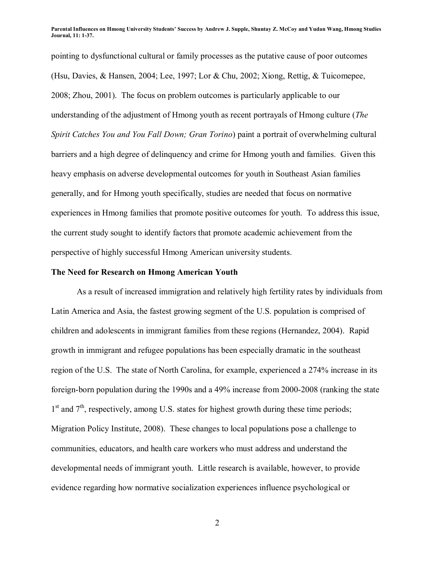pointing to dysfunctional cultural or family processes as the putative cause of poor outcomes (Hsu, Davies, & Hansen, 2004; Lee, 1997; Lor & Chu, 2002; Xiong, Rettig, & Tuicomepee, 2008; Zhou, 2001). The focus on problem outcomes is particularly applicable to our understanding of the adjustment of Hmong youth as recent portrayals of Hmong culture (*The Spirit Catches You and You Fall Down; Gran Torino*) paint a portrait of overwhelming cultural barriers and a high degree of delinquency and crime for Hmong youth and families. Given this heavy emphasis on adverse developmental outcomes for youth in Southeast Asian families generally, and for Hmong youth specifically, studies are needed that focus on normative experiences in Hmong families that promote positive outcomes for youth. To address this issue, the current study sought to identify factors that promote academic achievement from the perspective of highly successful Hmong American university students.

### **The Need for Research on Hmong American Youth**

As a result of increased immigration and relatively high fertility rates by individuals from Latin America and Asia, the fastest growing segment of the U.S. population is comprised of children and adolescents in immigrant families from these regions (Hernandez, 2004). Rapid growth in immigrant and refugee populations has been especially dramatic in the southeast region of the U.S. The state of North Carolina, for example, experienced a 274% increase in its foreign-born population during the 1990s and a 49% increase from 2000-2008 (ranking the state  $1<sup>st</sup>$  and  $7<sup>th</sup>$ , respectively, among U.S. states for highest growth during these time periods; Migration Policy Institute, 2008). These changes to local populations pose a challenge to communities, educators, and health care workers who must address and understand the developmental needs of immigrant youth. Little research is available, however, to provide evidence regarding how normative socialization experiences influence psychological or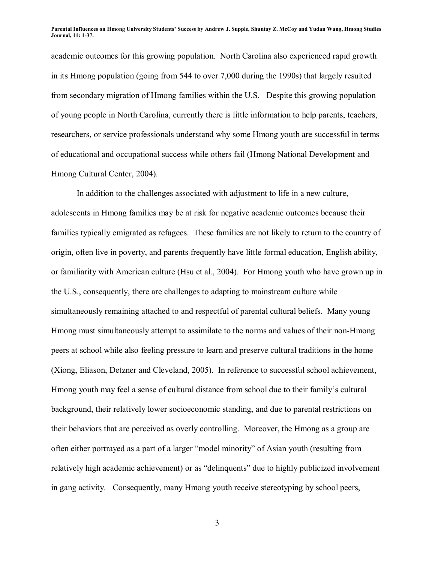academic outcomes for this growing population. North Carolina also experienced rapid growth in its Hmong population (going from 544 to over 7,000 during the 1990s) that largely resulted from secondary migration of Hmong families within the U.S. Despite this growing population of young people in North Carolina, currently there is little information to help parents, teachers, researchers, or service professionals understand why some Hmong youth are successful in terms of educational and occupational success while others fail (Hmong National Development and Hmong Cultural Center, 2004).

In addition to the challenges associated with adjustment to life in a new culture, adolescents in Hmong families may be at risk for negative academic outcomes because their families typically emigrated as refugees. These families are not likely to return to the country of origin, often live in poverty, and parents frequently have little formal education, English ability, or familiarity with American culture (Hsu et al., 2004). For Hmong youth who have grown up in the U.S., consequently, there are challenges to adapting to mainstream culture while simultaneously remaining attached to and respectful of parental cultural beliefs. Many young Hmong must simultaneously attempt to assimilate to the norms and values of their non-Hmong peers at school while also feeling pressure to learn and preserve cultural traditions in the home (Xiong, Eliason, Detzner and Cleveland, 2005). In reference to successful school achievement, Hmong youth may feel a sense of cultural distance from school due to their family's cultural background, their relatively lower socioeconomic standing, and due to parental restrictions on their behaviors that are perceived as overly controlling. Moreover, the Hmong as a group are often either portrayed as a part of a larger "model minority" of Asian youth (resulting from relatively high academic achievement) or as "delinquents" due to highly publicized involvement in gang activity. Consequently, many Hmong youth receive stereotyping by school peers,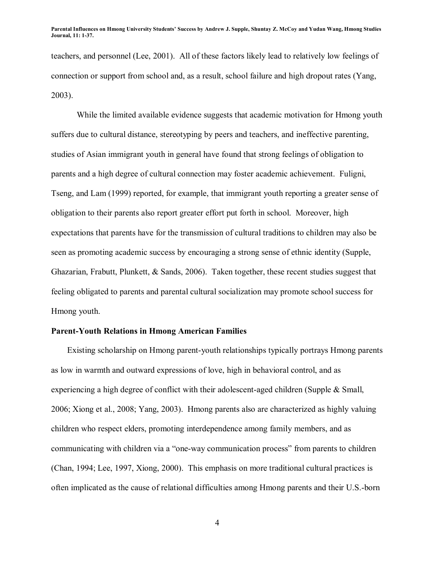teachers, and personnel (Lee, 2001). All of these factors likely lead to relatively low feelings of connection or support from school and, as a result, school failure and high dropout rates (Yang, 2003).

While the limited available evidence suggests that academic motivation for Hmong youth suffers due to cultural distance, stereotyping by peers and teachers, and ineffective parenting, studies of Asian immigrant youth in general have found that strong feelings of obligation to parents and a high degree of cultural connection may foster academic achievement. Fuligni, Tseng, and Lam (1999) reported, for example, that immigrant youth reporting a greater sense of obligation to their parents also report greater effort put forth in school. Moreover, high expectations that parents have for the transmission of cultural traditions to children may also be seen as promoting academic success by encouraging a strong sense of ethnic identity (Supple, Ghazarian, Frabutt, Plunkett, & Sands, 2006). Taken together, these recent studies suggest that feeling obligated to parents and parental cultural socialization may promote school success for Hmong youth.

### **Parent-Youth Relations in Hmong American Families**

Existing scholarship on Hmong parent-youth relationships typically portrays Hmong parents as low in warmth and outward expressions of love, high in behavioral control, and as experiencing a high degree of conflict with their adolescent-aged children (Supple & Small, 2006; Xiong et al., 2008; Yang, 2003). Hmong parents also are characterized as highly valuing children who respect elders, promoting interdependence among family members, and as communicating with children via a "one-way communication process" from parents to children (Chan, 1994; Lee, 1997, Xiong, 2000). This emphasis on more traditional cultural practices is often implicated as the cause of relational difficulties among Hmong parents and their U.S.-born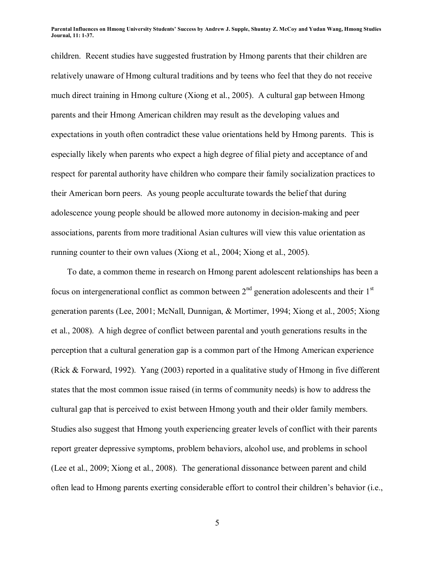children. Recent studies have suggested frustration by Hmong parents that their children are relatively unaware of Hmong cultural traditions and by teens who feel that they do not receive much direct training in Hmong culture (Xiong et al., 2005). A cultural gap between Hmong parents and their Hmong American children may result as the developing values and expectations in youth often contradict these value orientations held by Hmong parents. This is especially likely when parents who expect a high degree of filial piety and acceptance of and respect for parental authority have children who compare their family socialization practices to their American born peers. As young people acculturate towards the belief that during adolescence young people should be allowed more autonomy in decision-making and peer associations, parents from more traditional Asian cultures will view this value orientation as running counter to their own values (Xiong et al., 2004; Xiong et al., 2005).

To date, a common theme in research on Hmong parent adolescent relationships has been a focus on intergenerational conflict as common between  $2<sup>nd</sup>$  generation adolescents and their  $1<sup>st</sup>$ generation parents (Lee, 2001; McNall, Dunnigan, & Mortimer, 1994; Xiong et al., 2005; Xiong et al., 2008). A high degree of conflict between parental and youth generations results in the perception that a cultural generation gap is a common part of the Hmong American experience (Rick & Forward, 1992). Yang (2003) reported in a qualitative study of Hmong in five different states that the most common issue raised (in terms of community needs) is how to address the cultural gap that is perceived to exist between Hmong youth and their older family members. Studies also suggest that Hmong youth experiencing greater levels of conflict with their parents report greater depressive symptoms, problem behaviors, alcohol use, and problems in school (Lee et al., 2009; Xiong et al., 2008). The generational dissonance between parent and child often lead to Hmong parents exerting considerable effort to control their children's behavior (i.e.,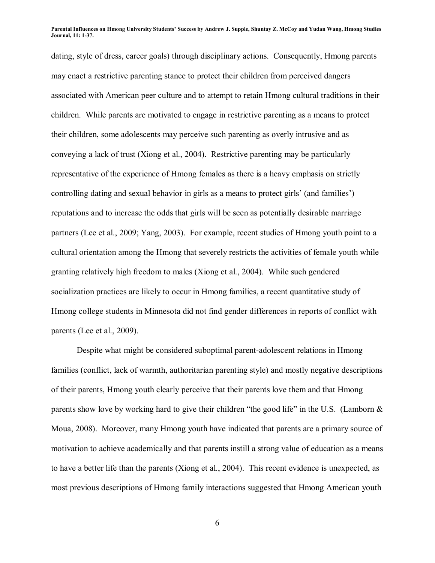dating, style of dress, career goals) through disciplinary actions. Consequently, Hmong parents may enact a restrictive parenting stance to protect their children from perceived dangers associated with American peer culture and to attempt to retain Hmong cultural traditions in their children. While parents are motivated to engage in restrictive parenting as a means to protect their children, some adolescents may perceive such parenting as overly intrusive and as conveying a lack of trust (Xiong et al., 2004). Restrictive parenting may be particularly representative of the experience of Hmong females as there is a heavy emphasis on strictly controlling dating and sexual behavior in girls as a means to protect girls' (and families') reputations and to increase the odds that girls will be seen as potentially desirable marriage partners (Lee et al., 2009; Yang, 2003). For example, recent studies of Hmong youth point to a cultural orientation among the Hmong that severely restricts the activities of female youth while granting relatively high freedom to males (Xiong et al., 2004). While such gendered socialization practices are likely to occur in Hmong families, a recent quantitative study of Hmong college students in Minnesota did not find gender differences in reports of conflict with parents (Lee et al., 2009).

Despite what might be considered suboptimal parent-adolescent relations in Hmong families (conflict, lack of warmth, authoritarian parenting style) and mostly negative descriptions of their parents, Hmong youth clearly perceive that their parents love them and that Hmong parents show love by working hard to give their children "the good life" in the U.S. (Lamborn  $\&$ Moua, 2008). Moreover, many Hmong youth have indicated that parents are a primary source of motivation to achieve academically and that parents instill a strong value of education as a means to have a better life than the parents (Xiong et al., 2004). This recent evidence is unexpected, as most previous descriptions of Hmong family interactions suggested that Hmong American youth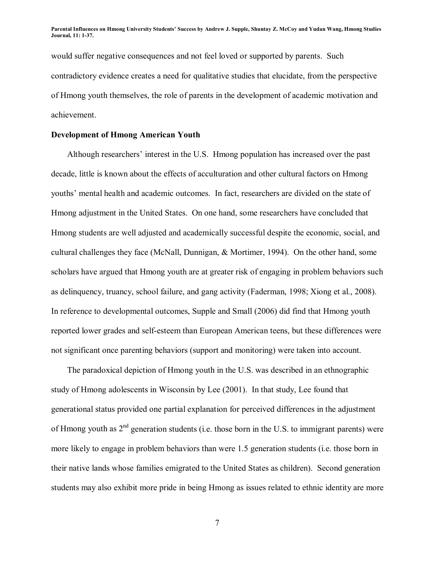would suffer negative consequences and not feel loved or supported by parents. Such contradictory evidence creates a need for qualitative studies that elucidate, from the perspective of Hmong youth themselves, the role of parents in the development of academic motivation and achievement.

### **Development of Hmong American Youth**

Although researchers' interest in the U.S. Hmong population has increased over the past decade, little is known about the effects of acculturation and other cultural factors on Hmong youths' mental health and academic outcomes. In fact, researchers are divided on the state of Hmong adjustment in the United States. On one hand, some researchers have concluded that Hmong students are well adjusted and academically successful despite the economic, social, and cultural challenges they face (McNall, Dunnigan, & Mortimer, 1994). On the other hand, some scholars have argued that Hmong youth are at greater risk of engaging in problem behaviors such as delinquency, truancy, school failure, and gang activity (Faderman, 1998; Xiong et al., 2008). In reference to developmental outcomes, Supple and Small (2006) did find that Hmong youth reported lower grades and self-esteem than European American teens, but these differences were not significant once parenting behaviors (support and monitoring) were taken into account.

The paradoxical depiction of Hmong youth in the U.S. was described in an ethnographic study of Hmong adolescents in Wisconsin by Lee (2001). In that study, Lee found that generational status provided one partial explanation for perceived differences in the adjustment of Hmong youth as  $2<sup>nd</sup>$  generation students (i.e. those born in the U.S. to immigrant parents) were more likely to engage in problem behaviors than were 1.5 generation students (i.e. those born in their native lands whose families emigrated to the United States as children). Second generation students may also exhibit more pride in being Hmong as issues related to ethnic identity are more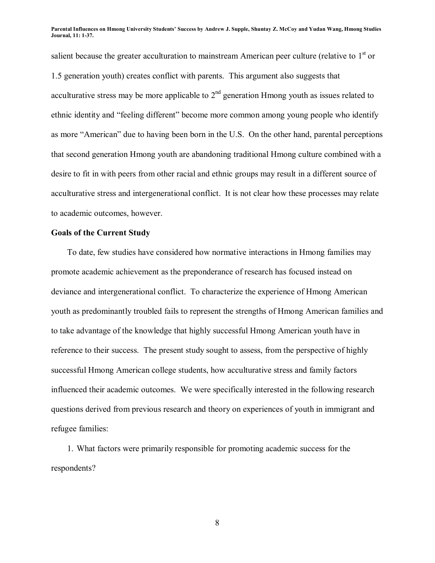salient because the greater acculturation to mainstream American peer culture (relative to  $1<sup>st</sup>$  or 1.5 generation youth) creates conflict with parents. This argument also suggests that acculturative stress may be more applicable to  $2<sup>nd</sup>$  generation Hmong youth as issues related to ethnic identity and "feeling different" become more common among young people who identify as more "American" due to having been born in the U.S. On the other hand, parental perceptions that second generation Hmong youth are abandoning traditional Hmong culture combined with a desire to fit in with peers from other racial and ethnic groups may result in a different source of acculturative stress and intergenerational conflict. It is not clear how these processes may relate to academic outcomes, however.

### **Goals of the Current Study**

To date, few studies have considered how normative interactions in Hmong families may promote academic achievement as the preponderance of research has focused instead on deviance and intergenerational conflict. To characterize the experience of Hmong American youth as predominantly troubled fails to represent the strengths of Hmong American families and to take advantage of the knowledge that highly successful Hmong American youth have in reference to their success. The present study sought to assess, from the perspective of highly successful Hmong American college students, how acculturative stress and family factors influenced their academic outcomes. We were specifically interested in the following research questions derived from previous research and theory on experiences of youth in immigrant and refugee families:

1. What factors were primarily responsible for promoting academic success for the respondents?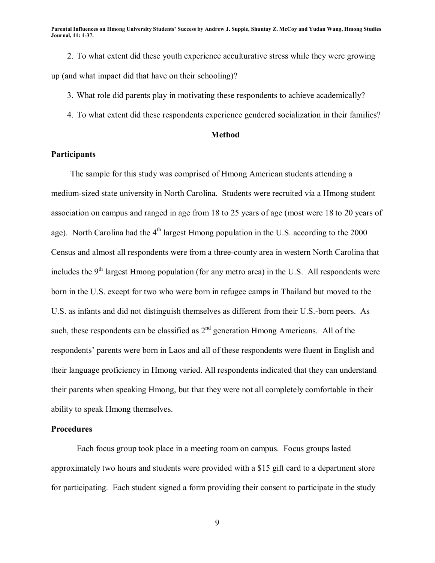2. To what extent did these youth experience acculturative stress while they were growing up (and what impact did that have on their schooling)?

3. What role did parents play in motivating these respondents to achieve academically?

4. To what extent did these respondents experience gendered socialization in their families?

### **Method**

### **Participants**

The sample for this study was comprised of Hmong American students attending a medium-sized state university in North Carolina. Students were recruited via a Hmong student association on campus and ranged in age from 18 to 25 years of age (most were 18 to 20 years of age). North Carolina had the  $4<sup>th</sup>$  largest Hmong population in the U.S. according to the 2000 Census and almost all respondents were from a three-county area in western North Carolina that includes the  $9<sup>th</sup>$  largest Hmong population (for any metro area) in the U.S. All respondents were born in the U.S. except for two who were born in refugee camps in Thailand but moved to the U.S. as infants and did not distinguish themselves as different from their U.S.-born peers. As such, these respondents can be classified as  $2<sup>nd</sup>$  generation Hmong Americans. All of the respondents' parents were born in Laos and all of these respondents were fluent in English and their language proficiency in Hmong varied. All respondents indicated that they can understand their parents when speaking Hmong, but that they were not all completely comfortable in their ability to speak Hmong themselves.

### **Procedures**

 Each focus group took place in a meeting room on campus. Focus groups lasted approximately two hours and students were provided with a \$15 gift card to a department store for participating. Each student signed a form providing their consent to participate in the study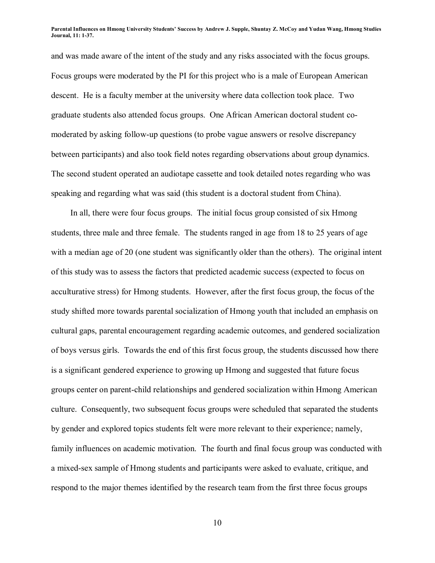and was made aware of the intent of the study and any risks associated with the focus groups. Focus groups were moderated by the PI for this project who is a male of European American descent. He is a faculty member at the university where data collection took place. Two graduate students also attended focus groups. One African American doctoral student comoderated by asking follow-up questions (to probe vague answers or resolve discrepancy between participants) and also took field notes regarding observations about group dynamics. The second student operated an audiotape cassette and took detailed notes regarding who was speaking and regarding what was said (this student is a doctoral student from China).

In all, there were four focus groups. The initial focus group consisted of six Hmong students, three male and three female. The students ranged in age from 18 to 25 years of age with a median age of 20 (one student was significantly older than the others). The original intent of this study was to assess the factors that predicted academic success (expected to focus on acculturative stress) for Hmong students. However, after the first focus group, the focus of the study shifted more towards parental socialization of Hmong youth that included an emphasis on cultural gaps, parental encouragement regarding academic outcomes, and gendered socialization of boys versus girls. Towards the end of this first focus group, the students discussed how there is a significant gendered experience to growing up Hmong and suggested that future focus groups center on parent-child relationships and gendered socialization within Hmong American culture. Consequently, two subsequent focus groups were scheduled that separated the students by gender and explored topics students felt were more relevant to their experience; namely, family influences on academic motivation. The fourth and final focus group was conducted with a mixed-sex sample of Hmong students and participants were asked to evaluate, critique, and respond to the major themes identified by the research team from the first three focus groups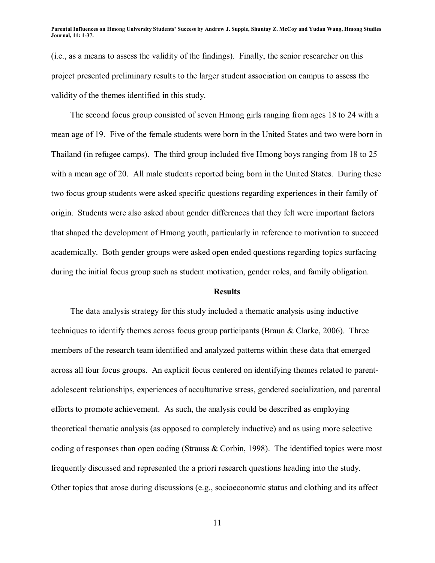(i.e., as a means to assess the validity of the findings). Finally, the senior researcher on this project presented preliminary results to the larger student association on campus to assess the validity of the themes identified in this study.

The second focus group consisted of seven Hmong girls ranging from ages 18 to 24 with a mean age of 19. Five of the female students were born in the United States and two were born in Thailand (in refugee camps). The third group included five Hmong boys ranging from 18 to 25 with a mean age of 20. All male students reported being born in the United States. During these two focus group students were asked specific questions regarding experiences in their family of origin. Students were also asked about gender differences that they felt were important factors that shaped the development of Hmong youth, particularly in reference to motivation to succeed academically. Both gender groups were asked open ended questions regarding topics surfacing during the initial focus group such as student motivation, gender roles, and family obligation.

#### **Results**

The data analysis strategy for this study included a thematic analysis using inductive techniques to identify themes across focus group participants (Braun & Clarke, 2006). Three members of the research team identified and analyzed patterns within these data that emerged across all four focus groups. An explicit focus centered on identifying themes related to parentadolescent relationships, experiences of acculturative stress, gendered socialization, and parental efforts to promote achievement. As such, the analysis could be described as employing theoretical thematic analysis (as opposed to completely inductive) and as using more selective coding of responses than open coding (Strauss  $\&$  Corbin, 1998). The identified topics were most frequently discussed and represented the a priori research questions heading into the study. Other topics that arose during discussions (e.g., socioeconomic status and clothing and its affect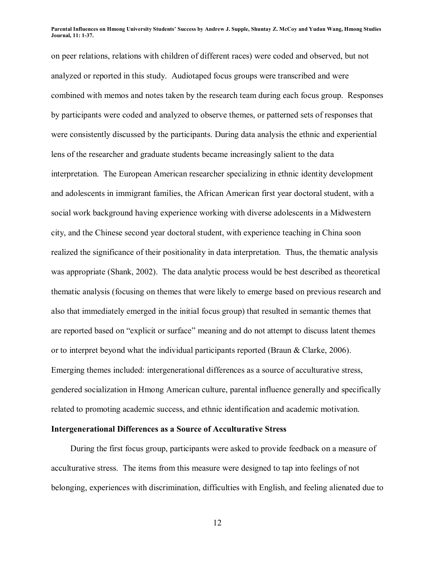on peer relations, relations with children of different races) were coded and observed, but not analyzed or reported in this study. Audiotaped focus groups were transcribed and were combined with memos and notes taken by the research team during each focus group. Responses by participants were coded and analyzed to observe themes, or patterned sets of responses that were consistently discussed by the participants. During data analysis the ethnic and experiential lens of the researcher and graduate students became increasingly salient to the data interpretation. The European American researcher specializing in ethnic identity development and adolescents in immigrant families, the African American first year doctoral student, with a social work background having experience working with diverse adolescents in a Midwestern city, and the Chinese second year doctoral student, with experience teaching in China soon realized the significance of their positionality in data interpretation. Thus, the thematic analysis was appropriate (Shank, 2002). The data analytic process would be best described as theoretical thematic analysis (focusing on themes that were likely to emerge based on previous research and also that immediately emerged in the initial focus group) that resulted in semantic themes that are reported based on "explicit or surface" meaning and do not attempt to discuss latent themes or to interpret beyond what the individual participants reported (Braun & Clarke, 2006). Emerging themes included: intergenerational differences as a source of acculturative stress, gendered socialization in Hmong American culture, parental influence generally and specifically related to promoting academic success, and ethnic identification and academic motivation.

### **Intergenerational Differences as a Source of Acculturative Stress**

During the first focus group, participants were asked to provide feedback on a measure of acculturative stress. The items from this measure were designed to tap into feelings of not belonging, experiences with discrimination, difficulties with English, and feeling alienated due to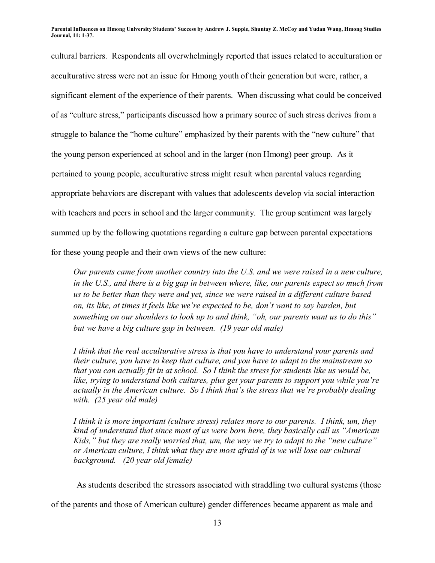cultural barriers. Respondents all overwhelmingly reported that issues related to acculturation or acculturative stress were not an issue for Hmong youth of their generation but were, rather, a significant element of the experience of their parents. When discussing what could be conceived of as "culture stress," participants discussed how a primary source of such stress derives from a struggle to balance the "home culture" emphasized by their parents with the "new culture" that the young person experienced at school and in the larger (non Hmong) peer group. As it pertained to young people, acculturative stress might result when parental values regarding appropriate behaviors are discrepant with values that adolescents develop via social interaction with teachers and peers in school and the larger community. The group sentiment was largely summed up by the following quotations regarding a culture gap between parental expectations for these young people and their own views of the new culture:

*Our parents came from another country into the U.S. and we were raised in a new culture, in the U.S., and there is a big gap in between where, like, our parents expect so much from us to be better than they were and yet, since we were raised in a different culture based on, its like, at times it feels like we're expected to be, don't want to say burden, but something on our shoulders to look up to and think, "oh, our parents want us to do this*" *but we have a big culture gap in between. (19 year old male)* 

*I think that the real acculturative stress is that you have to understand your parents and their culture, you have to keep that culture, and you have to adapt to the mainstream so that you can actually fit in at school. So I think the stress for students like us would be,*  like, trying to understand both cultures, plus get your parents to support you while you're *actually in the American culture. So I think that's the stress that we're probably dealing with. (25 year old male)* 

*I think it is more important (culture stress) relates more to our parents. I think, um, they kind of understand that since most of us were born here, they basically call us "American Kids," but they are really worried that, um, the way we try to adapt to the "new culture" or American culture, I think what they are most afraid of is we will lose our cultural background. (20 year old female)* 

As students described the stressors associated with straddling two cultural systems (those of the parents and those of American culture) gender differences became apparent as male and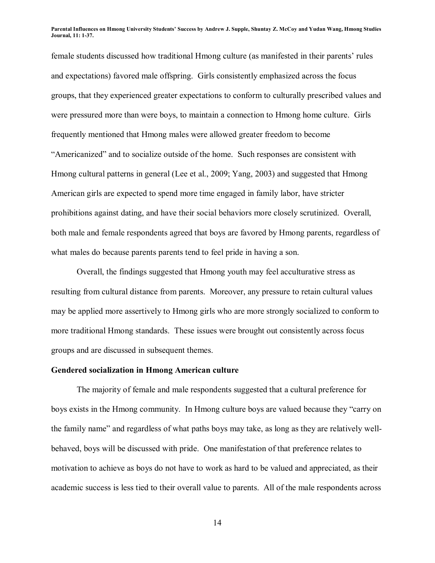female students discussed how traditional Hmong culture (as manifested in their parents' rules and expectations) favored male offspring. Girls consistently emphasized across the focus groups, that they experienced greater expectations to conform to culturally prescribed values and were pressured more than were boys, to maintain a connection to Hmong home culture. Girls frequently mentioned that Hmong males were allowed greater freedom to become "Americanized" and to socialize outside of the home. Such responses are consistent with Hmong cultural patterns in general (Lee et al., 2009; Yang, 2003) and suggested that Hmong American girls are expected to spend more time engaged in family labor, have stricter prohibitions against dating, and have their social behaviors more closely scrutinized. Overall, both male and female respondents agreed that boys are favored by Hmong parents, regardless of what males do because parents parents tend to feel pride in having a son.

Overall, the findings suggested that Hmong youth may feel acculturative stress as resulting from cultural distance from parents. Moreover, any pressure to retain cultural values may be applied more assertively to Hmong girls who are more strongly socialized to conform to more traditional Hmong standards. These issues were brought out consistently across focus groups and are discussed in subsequent themes.

### **Gendered socialization in Hmong American culture**

The majority of female and male respondents suggested that a cultural preference for boys exists in the Hmong community. In Hmong culture boys are valued because they "carry on the family name" and regardless of what paths boys may take, as long as they are relatively wellbehaved, boys will be discussed with pride. One manifestation of that preference relates to motivation to achieve as boys do not have to work as hard to be valued and appreciated, as their academic success is less tied to their overall value to parents. All of the male respondents across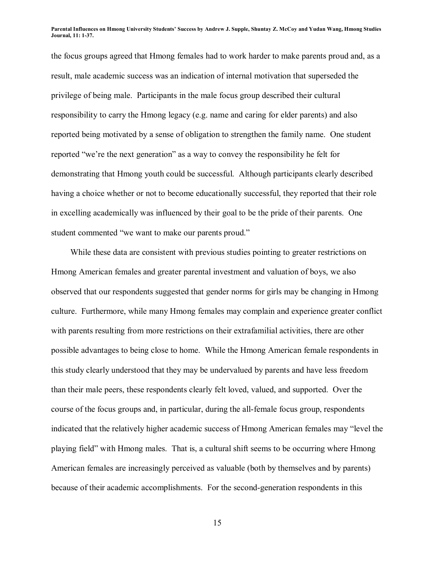the focus groups agreed that Hmong females had to work harder to make parents proud and, as a result, male academic success was an indication of internal motivation that superseded the privilege of being male. Participants in the male focus group described their cultural responsibility to carry the Hmong legacy (e.g. name and caring for elder parents) and also reported being motivated by a sense of obligation to strengthen the family name. One student reported "we're the next generation" as a way to convey the responsibility he felt for demonstrating that Hmong youth could be successful. Although participants clearly described having a choice whether or not to become educationally successful, they reported that their role in excelling academically was influenced by their goal to be the pride of their parents. One student commented "we want to make our parents proud."

While these data are consistent with previous studies pointing to greater restrictions on Hmong American females and greater parental investment and valuation of boys, we also observed that our respondents suggested that gender norms for girls may be changing in Hmong culture. Furthermore, while many Hmong females may complain and experience greater conflict with parents resulting from more restrictions on their extrafamilial activities, there are other possible advantages to being close to home. While the Hmong American female respondents in this study clearly understood that they may be undervalued by parents and have less freedom than their male peers, these respondents clearly felt loved, valued, and supported. Over the course of the focus groups and, in particular, during the all-female focus group, respondents indicated that the relatively higher academic success of Hmong American females may "level the playing fieldî with Hmong males. That is, a cultural shift seems to be occurring where Hmong American females are increasingly perceived as valuable (both by themselves and by parents) because of their academic accomplishments. For the second-generation respondents in this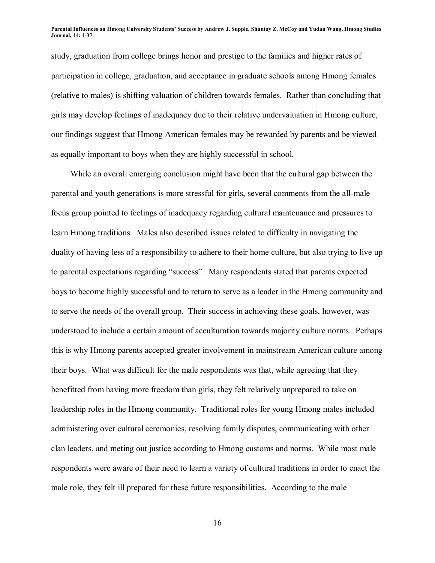study, graduation from college brings honor and prestige to the families and higher rates of participation in college, graduation, and acceptance in graduate schools among Hmong females (relative to males) is shifting valuation of children towards females. Rather than concluding that girls may develop feelings of inadequacy due to their relative undervaluation in Hmong culture, our findings suggest that Hmong American females may be rewarded by parents and be viewed as equally important to boys when they are highly successful in school.

While an overall emerging conclusion might have been that the cultural gap between the parental and youth generations is more stressful for girls, several comments from the all-male focus group pointed to feelings of inadequacy regarding cultural maintenance and pressures to learn Hmong traditions. Males also described issues related to difficulty in navigating the duality of having less of a responsibility to adhere to their home culture, but also trying to live up to parental expectations regarding "success". Many respondents stated that parents expected boys to become highly successful and to return to serve as a leader in the Hmong community and to serve the needs of the overall group. Their success in achieving these goals, however, was understood to include a certain amount of acculturation towards majority culture norms. Perhaps this is why Hmong parents accepted greater involvement in mainstream American culture among their boys. What was difficult for the male respondents was that, while agreeing that they benefitted from having more freedom than girls, they felt relatively unprepared to take on leadership roles in the Hmong community. Traditional roles for young Hmong males included administering over cultural ceremonies, resolving family disputes, communicating with other clan leaders, and meting out justice according to Hmong customs and norms. While most male respondents were aware of their need to learn a variety of cultural traditions in order to enact the male role, they felt ill prepared for these future responsibilities. According to the male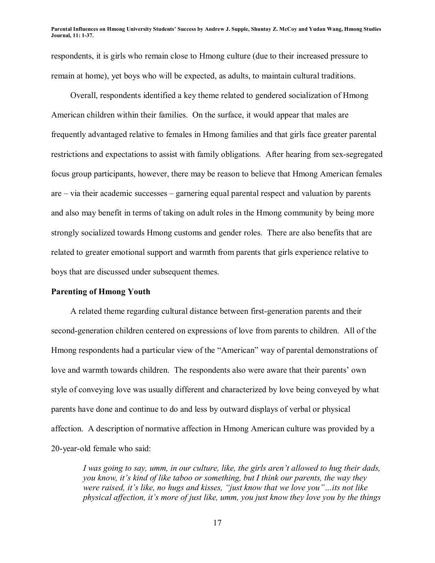respondents, it is girls who remain close to Hmong culture (due to their increased pressure to remain at home), yet boys who will be expected, as adults, to maintain cultural traditions.

Overall, respondents identified a key theme related to gendered socialization of Hmong American children within their families. On the surface, it would appear that males are frequently advantaged relative to females in Hmong families and that girls face greater parental restrictions and expectations to assist with family obligations. After hearing from sex-segregated focus group participants, however, there may be reason to believe that Hmong American females are  $\overline{\phantom{a}}$  via their academic successes  $\overline{\phantom{a}}$  garnering equal parental respect and valuation by parents and also may benefit in terms of taking on adult roles in the Hmong community by being more strongly socialized towards Hmong customs and gender roles. There are also benefits that are related to greater emotional support and warmth from parents that girls experience relative to boys that are discussed under subsequent themes.

### **Parenting of Hmong Youth**

A related theme regarding cultural distance between first-generation parents and their second-generation children centered on expressions of love from parents to children. All of the Hmong respondents had a particular view of the "American" way of parental demonstrations of love and warmth towards children. The respondents also were aware that their parents' own style of conveying love was usually different and characterized by love being conveyed by what parents have done and continue to do and less by outward displays of verbal or physical affection. A description of normative affection in Hmong American culture was provided by a 20-year-old female who said:

*I* was going to say, umm, in our culture, like, the girls aren't allowed to hug their dads, *you know, it's kind of like taboo or something, but I think our parents, the way they were raised, it's like, no hugs and kisses, "just know that we love you"...its not like physical affection, itís more of just like, umm, you just know they love you by the things*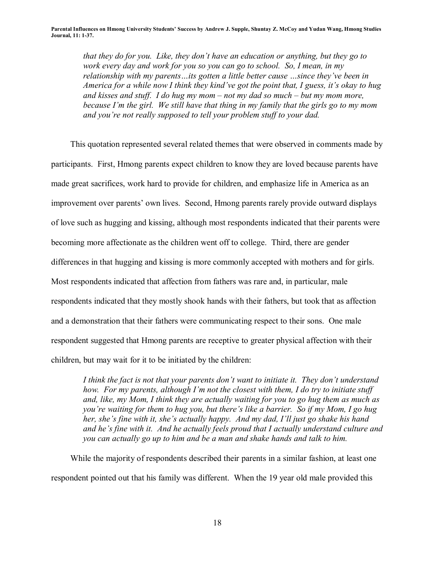*that they do for you. Like, they don't have an education or anything, but they go to work every day and work for you so you can go to school. So, I mean, in my relationship with my parents...its gotten a little better cause ...since they've been in America for a while now I think they kind've got the point that, I guess, it's okay to hug* and kisses and stuff. I do hug my mom  $-$  not my dad so much  $-$  but my mom more, *because Iím the girl. We still have that thing in my family that the girls go to my mom and you're not really supposed to tell your problem stuff to your dad.* 

This quotation represented several related themes that were observed in comments made by participants. First, Hmong parents expect children to know they are loved because parents have made great sacrifices, work hard to provide for children, and emphasize life in America as an improvement over parents' own lives. Second, Hmong parents rarely provide outward displays of love such as hugging and kissing, although most respondents indicated that their parents were becoming more affectionate as the children went off to college. Third, there are gender differences in that hugging and kissing is more commonly accepted with mothers and for girls. Most respondents indicated that affection from fathers was rare and, in particular, male respondents indicated that they mostly shook hands with their fathers, but took that as affection and a demonstration that their fathers were communicating respect to their sons. One male respondent suggested that Hmong parents are receptive to greater physical affection with their children, but may wait for it to be initiated by the children:

I think the fact is not that your parents don't want to initiate it. They don't understand *how. For my parents, although Iím not the closest with them, I do try to initiate stuff and, like, my Mom, I think they are actually waiting for you to go hug them as much as you're waiting for them to hug you, but there's like a barrier. So if my Mom, I go hug her, she's fine with it, she's actually happy. And my dad, I'll just go shake his hand* and he's fine with it. And he actually feels proud that I actually understand culture and *you can actually go up to him and be a man and shake hands and talk to him.* 

While the majority of respondents described their parents in a similar fashion, at least one respondent pointed out that his family was different. When the 19 year old male provided this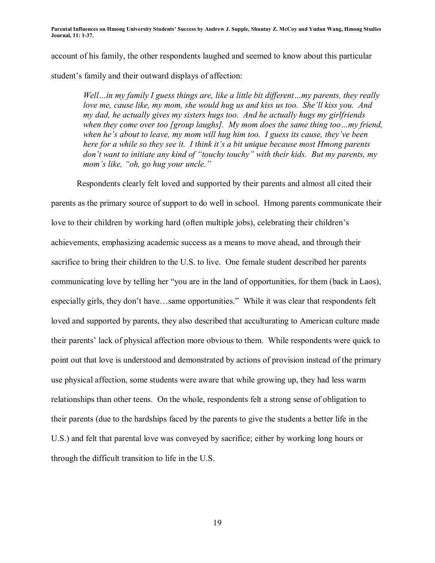account of his family, the other respondents laughed and seemed to know about this particular student's family and their outward displays of affection:

*Well* ... in my family I guess things are, like a little bit different ... my parents, they really *love me, cause like, my mom, she would hug us and kiss us too. She'll kiss you. And my dad, he actually gives my sisters hugs too. And he actually hugs my girlfriends when they come over too [group laughs]. My mom does the same thing too...my friend, when he's about to leave, my mom will hug him too. I guess its cause, they've been here for a while so they see it. I think it's a bit unique because most Hmong parents don't want to initiate any kind of "touchy touchy" with their kids. But my parents, my mom's like, "oh, go hug your uncle."* 

Respondents clearly felt loved and supported by their parents and almost all cited their

parents as the primary source of support to do well in school. Hmong parents communicate their love to their children by working hard (often multiple jobs), celebrating their children's achievements, emphasizing academic success as a means to move ahead, and through their sacrifice to bring their children to the U.S. to live. One female student described her parents communicating love by telling her "you are in the land of opportunities, for them (back in Laos), especially girls, they don't have...same opportunities." While it was clear that respondents felt loved and supported by parents, they also described that acculturating to American culture made their parents' lack of physical affection more obvious to them. While respondents were quick to point out that love is understood and demonstrated by actions of provision instead of the primary use physical affection, some students were aware that while growing up, they had less warm relationships than other teens. On the whole, respondents felt a strong sense of obligation to their parents (due to the hardships faced by the parents to give the students a better life in the U.S.) and felt that parental love was conveyed by sacrifice; either by working long hours or through the difficult transition to life in the U.S.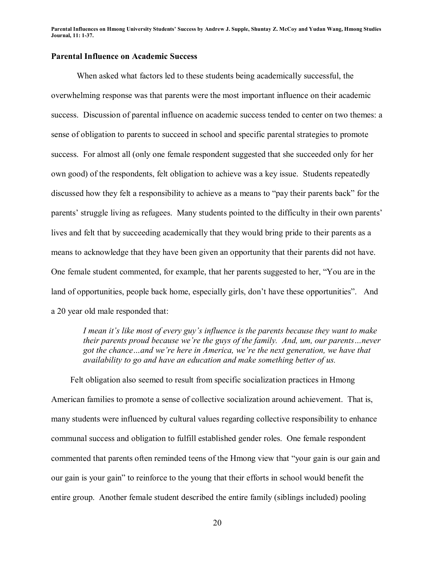## **Parental Influence on Academic Success**

When asked what factors led to these students being academically successful, the overwhelming response was that parents were the most important influence on their academic success. Discussion of parental influence on academic success tended to center on two themes: a sense of obligation to parents to succeed in school and specific parental strategies to promote success. For almost all (only one female respondent suggested that she succeeded only for her own good) of the respondents, felt obligation to achieve was a key issue. Students repeatedly discussed how they felt a responsibility to achieve as a means to "pay their parents back" for the parents' struggle living as refugees. Many students pointed to the difficulty in their own parents' lives and felt that by succeeding academically that they would bring pride to their parents as a means to acknowledge that they have been given an opportunity that their parents did not have. One female student commented, for example, that her parents suggested to her, "You are in the land of opportunities, people back home, especially girls, don't have these opportunities". And a 20 year old male responded that:

*I* mean it's like most of every guy's influence is the parents because they want to make *their parents proud because we're the guys of the family. And, um, our parents...never* got the chance...and we're here in America, we're the next generation, we have that *availability to go and have an education and make something better of us.* 

Felt obligation also seemed to result from specific socialization practices in Hmong American families to promote a sense of collective socialization around achievement. That is, many students were influenced by cultural values regarding collective responsibility to enhance communal success and obligation to fulfill established gender roles. One female respondent commented that parents often reminded teens of the Hmong view that "your gain is our gain and our gain is your gain" to reinforce to the young that their efforts in school would benefit the entire group. Another female student described the entire family (siblings included) pooling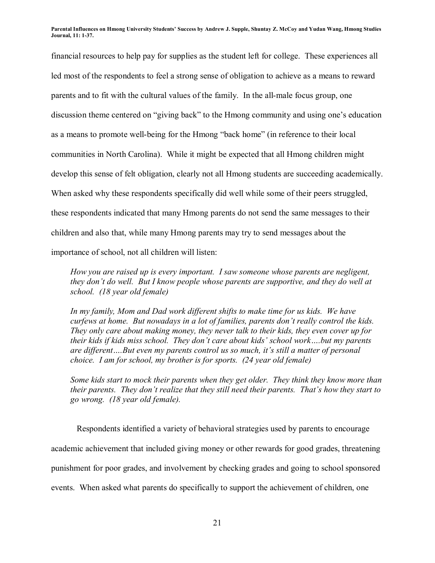financial resources to help pay for supplies as the student left for college. These experiences all led most of the respondents to feel a strong sense of obligation to achieve as a means to reward parents and to fit with the cultural values of the family. In the all-male focus group, one discussion theme centered on "giving back" to the Hmong community and using one's education as a means to promote well-being for the Hmong "back home" (in reference to their local communities in North Carolina). While it might be expected that all Hmong children might develop this sense of felt obligation, clearly not all Hmong students are succeeding academically. When asked why these respondents specifically did well while some of their peers struggled, these respondents indicated that many Hmong parents do not send the same messages to their children and also that, while many Hmong parents may try to send messages about the importance of school, not all children will listen:

*How you are raised up is every important. I saw someone whose parents are negligent, they don't do well. But I know people whose parents are supportive, and they do well at school. (18 year old female)* 

*In my family, Mom and Dad work different shifts to make time for us kids. We have curfews at home. But nowadays in a lot of families, parents don't really control the kids. They only care about making money, they never talk to their kids, they even cover up for their kids if kids miss school. They don't care about kids' school work....but my parents* are different....But even my parents control us so much, it's still a matter of personal *choice. I am for school, my brother is for sports. (24 year old female)* 

*Some kids start to mock their parents when they get older. They think they know more than their parents. They don't realize that they still need their parents. That's how they start to go wrong. (18 year old female).* 

Respondents identified a variety of behavioral strategies used by parents to encourage academic achievement that included giving money or other rewards for good grades, threatening punishment for poor grades, and involvement by checking grades and going to school sponsored events. When asked what parents do specifically to support the achievement of children, one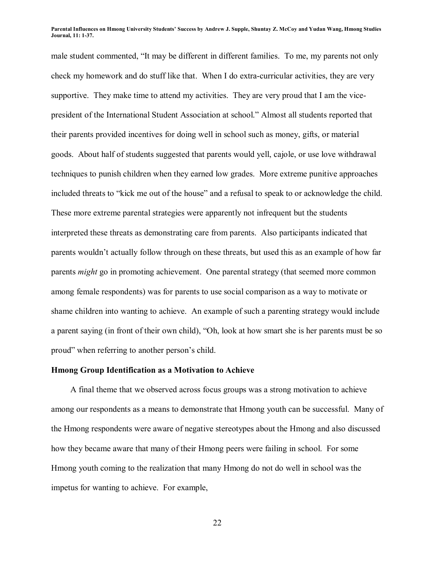male student commented, "It may be different in different families. To me, my parents not only check my homework and do stuff like that. When I do extra-curricular activities, they are very supportive. They make time to attend my activities. They are very proud that I am the vicepresident of the International Student Association at school.î Almost all students reported that their parents provided incentives for doing well in school such as money, gifts, or material goods. About half of students suggested that parents would yell, cajole, or use love withdrawal techniques to punish children when they earned low grades. More extreme punitive approaches included threats to "kick me out of the house" and a refusal to speak to or acknowledge the child. These more extreme parental strategies were apparently not infrequent but the students interpreted these threats as demonstrating care from parents. Also participants indicated that parents wouldn't actually follow through on these threats, but used this as an example of how far parents *might* go in promoting achievement. One parental strategy (that seemed more common among female respondents) was for parents to use social comparison as a way to motivate or shame children into wanting to achieve. An example of such a parenting strategy would include a parent saying (in front of their own child), "Oh, look at how smart she is her parents must be so proud" when referring to another person's child.

### **Hmong Group Identification as a Motivation to Achieve**

A final theme that we observed across focus groups was a strong motivation to achieve among our respondents as a means to demonstrate that Hmong youth can be successful. Many of the Hmong respondents were aware of negative stereotypes about the Hmong and also discussed how they became aware that many of their Hmong peers were failing in school. For some Hmong youth coming to the realization that many Hmong do not do well in school was the impetus for wanting to achieve. For example,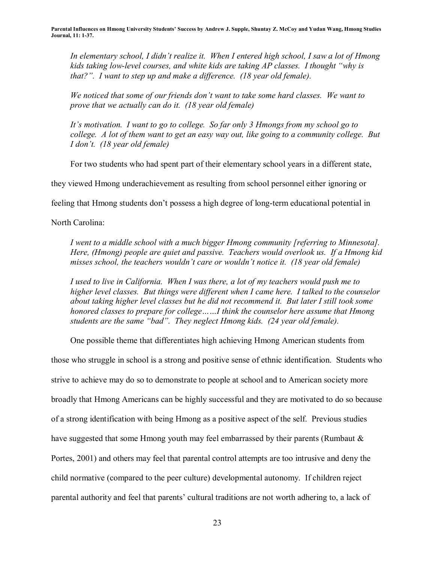*In elementary school, I didnít realize it. When I entered high school, I saw a lot of Hmong kids taking low-level courses, and white kids are taking AP classes. I thought "why is that?". I want to step up and make a difference. (18 year old female).* 

*We noticed that some of our friends donít want to take some hard classes. We want to prove that we actually can do it. (18 year old female)* 

*Itís motivation. I want to go to college. So far only 3 Hmongs from my school go to college. A lot of them want to get an easy way out, like going to a community college. But I donít. (18 year old female)* 

For two students who had spent part of their elementary school years in a different state,

they viewed Hmong underachievement as resulting from school personnel either ignoring or

feeling that Hmong students don't possess a high degree of long-term educational potential in

North Carolina:

*I went to a middle school with a much bigger Hmong community [referring to Minnesota]. Here, (Hmong) people are quiet and passive. Teachers would overlook us. If a Hmong kid misses school, the teachers wouldn't care or wouldn't notice it. (18 year old female)* 

*I used to live in California. When I was there, a lot of my teachers would push me to higher level classes. But things were different when I came here. I talked to the counselor about taking higher level classes but he did not recommend it. But later I still took some honored classes to prepare for college* ......*I think the counselor here assume that Hmong students are the same "bad". They neglect Hmong kids. (24 year old female).* 

One possible theme that differentiates high achieving Hmong American students from

those who struggle in school is a strong and positive sense of ethnic identification. Students who strive to achieve may do so to demonstrate to people at school and to American society more broadly that Hmong Americans can be highly successful and they are motivated to do so because of a strong identification with being Hmong as a positive aspect of the self. Previous studies have suggested that some Hmong youth may feel embarrassed by their parents (Rumbaut & Portes, 2001) and others may feel that parental control attempts are too intrusive and deny the child normative (compared to the peer culture) developmental autonomy. If children reject parental authority and feel that parents' cultural traditions are not worth adhering to, a lack of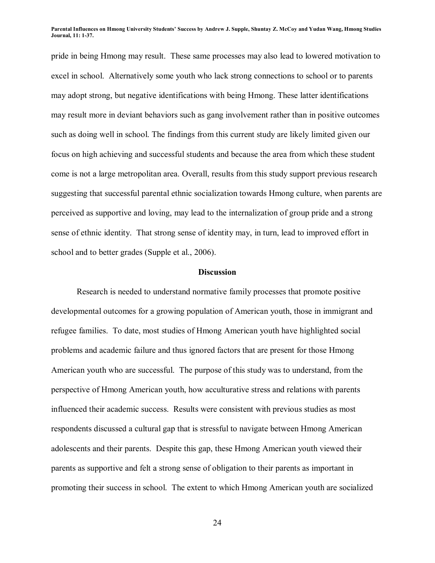pride in being Hmong may result. These same processes may also lead to lowered motivation to excel in school. Alternatively some youth who lack strong connections to school or to parents may adopt strong, but negative identifications with being Hmong. These latter identifications may result more in deviant behaviors such as gang involvement rather than in positive outcomes such as doing well in school. The findings from this current study are likely limited given our focus on high achieving and successful students and because the area from which these student come is not a large metropolitan area. Overall, results from this study support previous research suggesting that successful parental ethnic socialization towards Hmong culture, when parents are perceived as supportive and loving, may lead to the internalization of group pride and a strong sense of ethnic identity. That strong sense of identity may, in turn, lead to improved effort in school and to better grades (Supple et al., 2006).

### **Discussion**

Research is needed to understand normative family processes that promote positive developmental outcomes for a growing population of American youth, those in immigrant and refugee families. To date, most studies of Hmong American youth have highlighted social problems and academic failure and thus ignored factors that are present for those Hmong American youth who are successful. The purpose of this study was to understand, from the perspective of Hmong American youth, how acculturative stress and relations with parents influenced their academic success. Results were consistent with previous studies as most respondents discussed a cultural gap that is stressful to navigate between Hmong American adolescents and their parents. Despite this gap, these Hmong American youth viewed their parents as supportive and felt a strong sense of obligation to their parents as important in promoting their success in school. The extent to which Hmong American youth are socialized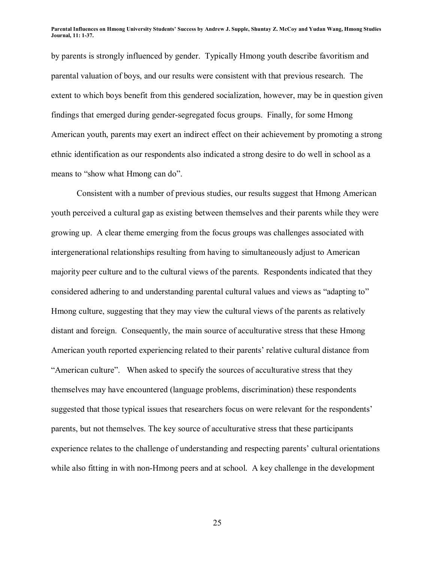by parents is strongly influenced by gender. Typically Hmong youth describe favoritism and parental valuation of boys, and our results were consistent with that previous research. The extent to which boys benefit from this gendered socialization, however, may be in question given findings that emerged during gender-segregated focus groups. Finally, for some Hmong American youth, parents may exert an indirect effect on their achievement by promoting a strong ethnic identification as our respondents also indicated a strong desire to do well in school as a means to "show what Hmong can do".

 Consistent with a number of previous studies, our results suggest that Hmong American youth perceived a cultural gap as existing between themselves and their parents while they were growing up. A clear theme emerging from the focus groups was challenges associated with intergenerational relationships resulting from having to simultaneously adjust to American majority peer culture and to the cultural views of the parents. Respondents indicated that they considered adhering to and understanding parental cultural values and views as "adapting to" Hmong culture, suggesting that they may view the cultural views of the parents as relatively distant and foreign. Consequently, the main source of acculturative stress that these Hmong American youth reported experiencing related to their parents' relative cultural distance from <sup>"</sup>American culture". When asked to specify the sources of acculturative stress that they themselves may have encountered (language problems, discrimination) these respondents suggested that those typical issues that researchers focus on were relevant for the respondents<sup>'</sup> parents, but not themselves. The key source of acculturative stress that these participants experience relates to the challenge of understanding and respecting parents' cultural orientations while also fitting in with non-Hmong peers and at school. A key challenge in the development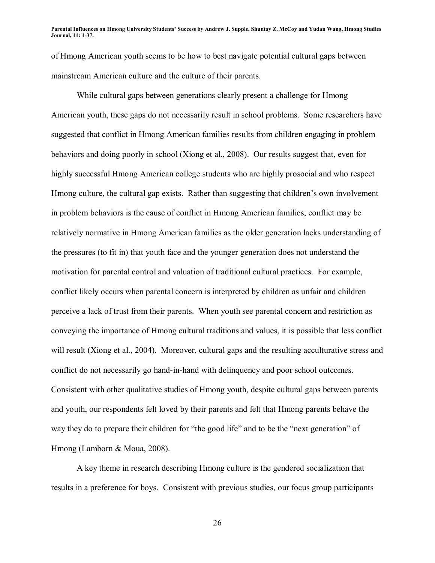of Hmong American youth seems to be how to best navigate potential cultural gaps between mainstream American culture and the culture of their parents.

 While cultural gaps between generations clearly present a challenge for Hmong American youth, these gaps do not necessarily result in school problems. Some researchers have suggested that conflict in Hmong American families results from children engaging in problem behaviors and doing poorly in school (Xiong et al., 2008). Our results suggest that, even for highly successful Hmong American college students who are highly prosocial and who respect Hmong culture, the cultural gap exists. Rather than suggesting that children's own involvement in problem behaviors is the cause of conflict in Hmong American families, conflict may be relatively normative in Hmong American families as the older generation lacks understanding of the pressures (to fit in) that youth face and the younger generation does not understand the motivation for parental control and valuation of traditional cultural practices. For example, conflict likely occurs when parental concern is interpreted by children as unfair and children perceive a lack of trust from their parents. When youth see parental concern and restriction as conveying the importance of Hmong cultural traditions and values, it is possible that less conflict will result (Xiong et al., 2004). Moreover, cultural gaps and the resulting acculturative stress and conflict do not necessarily go hand-in-hand with delinquency and poor school outcomes. Consistent with other qualitative studies of Hmong youth, despite cultural gaps between parents and youth, our respondents felt loved by their parents and felt that Hmong parents behave the way they do to prepare their children for "the good life" and to be the "next generation" of Hmong (Lamborn & Moua, 2008).

 A key theme in research describing Hmong culture is the gendered socialization that results in a preference for boys. Consistent with previous studies, our focus group participants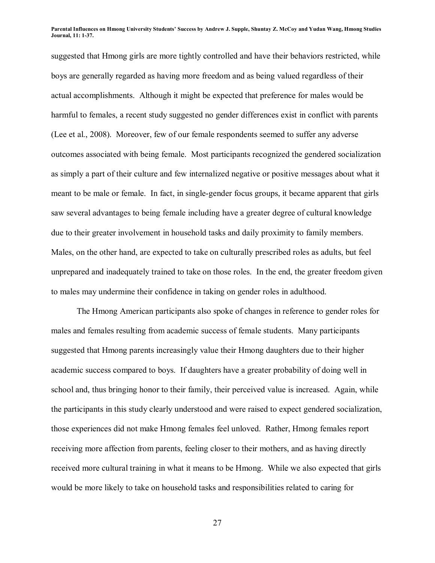suggested that Hmong girls are more tightly controlled and have their behaviors restricted, while boys are generally regarded as having more freedom and as being valued regardless of their actual accomplishments. Although it might be expected that preference for males would be harmful to females, a recent study suggested no gender differences exist in conflict with parents (Lee et al., 2008). Moreover, few of our female respondents seemed to suffer any adverse outcomes associated with being female. Most participants recognized the gendered socialization as simply a part of their culture and few internalized negative or positive messages about what it meant to be male or female. In fact, in single-gender focus groups, it became apparent that girls saw several advantages to being female including have a greater degree of cultural knowledge due to their greater involvement in household tasks and daily proximity to family members. Males, on the other hand, are expected to take on culturally prescribed roles as adults, but feel unprepared and inadequately trained to take on those roles. In the end, the greater freedom given to males may undermine their confidence in taking on gender roles in adulthood.

The Hmong American participants also spoke of changes in reference to gender roles for males and females resulting from academic success of female students. Many participants suggested that Hmong parents increasingly value their Hmong daughters due to their higher academic success compared to boys. If daughters have a greater probability of doing well in school and, thus bringing honor to their family, their perceived value is increased. Again, while the participants in this study clearly understood and were raised to expect gendered socialization, those experiences did not make Hmong females feel unloved. Rather, Hmong females report receiving more affection from parents, feeling closer to their mothers, and as having directly received more cultural training in what it means to be Hmong. While we also expected that girls would be more likely to take on household tasks and responsibilities related to caring for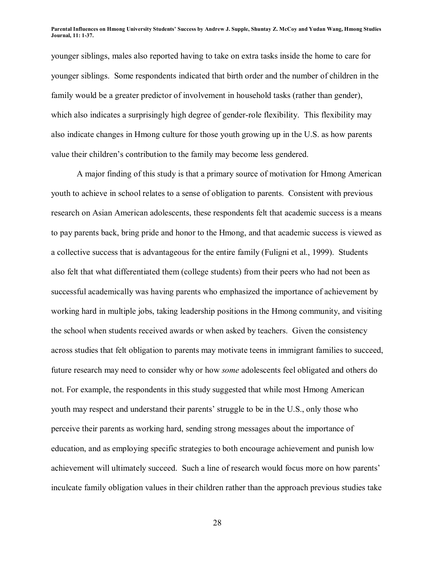younger siblings, males also reported having to take on extra tasks inside the home to care for younger siblings. Some respondents indicated that birth order and the number of children in the family would be a greater predictor of involvement in household tasks (rather than gender), which also indicates a surprisingly high degree of gender-role flexibility. This flexibility may also indicate changes in Hmong culture for those youth growing up in the U.S. as how parents value their children's contribution to the family may become less gendered.

 A major finding of this study is that a primary source of motivation for Hmong American youth to achieve in school relates to a sense of obligation to parents. Consistent with previous research on Asian American adolescents, these respondents felt that academic success is a means to pay parents back, bring pride and honor to the Hmong, and that academic success is viewed as a collective success that is advantageous for the entire family (Fuligni et al., 1999). Students also felt that what differentiated them (college students) from their peers who had not been as successful academically was having parents who emphasized the importance of achievement by working hard in multiple jobs, taking leadership positions in the Hmong community, and visiting the school when students received awards or when asked by teachers. Given the consistency across studies that felt obligation to parents may motivate teens in immigrant families to succeed, future research may need to consider why or how *some* adolescents feel obligated and others do not. For example, the respondents in this study suggested that while most Hmong American youth may respect and understand their parents' struggle to be in the U.S., only those who perceive their parents as working hard, sending strong messages about the importance of education, and as employing specific strategies to both encourage achievement and punish low achievement will ultimately succeed. Such a line of research would focus more on how parents' inculcate family obligation values in their children rather than the approach previous studies take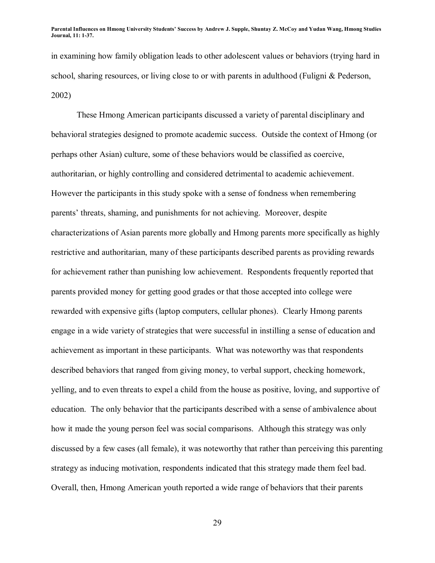in examining how family obligation leads to other adolescent values or behaviors (trying hard in school, sharing resources, or living close to or with parents in adulthood (Fuligni & Pederson, 2002)

 These Hmong American participants discussed a variety of parental disciplinary and behavioral strategies designed to promote academic success. Outside the context of Hmong (or perhaps other Asian) culture, some of these behaviors would be classified as coercive, authoritarian, or highly controlling and considered detrimental to academic achievement. However the participants in this study spoke with a sense of fondness when remembering parents' threats, shaming, and punishments for not achieving. Moreover, despite characterizations of Asian parents more globally and Hmong parents more specifically as highly restrictive and authoritarian, many of these participants described parents as providing rewards for achievement rather than punishing low achievement. Respondents frequently reported that parents provided money for getting good grades or that those accepted into college were rewarded with expensive gifts (laptop computers, cellular phones). Clearly Hmong parents engage in a wide variety of strategies that were successful in instilling a sense of education and achievement as important in these participants. What was noteworthy was that respondents described behaviors that ranged from giving money, to verbal support, checking homework, yelling, and to even threats to expel a child from the house as positive, loving, and supportive of education. The only behavior that the participants described with a sense of ambivalence about how it made the young person feel was social comparisons. Although this strategy was only discussed by a few cases (all female), it was noteworthy that rather than perceiving this parenting strategy as inducing motivation, respondents indicated that this strategy made them feel bad. Overall, then, Hmong American youth reported a wide range of behaviors that their parents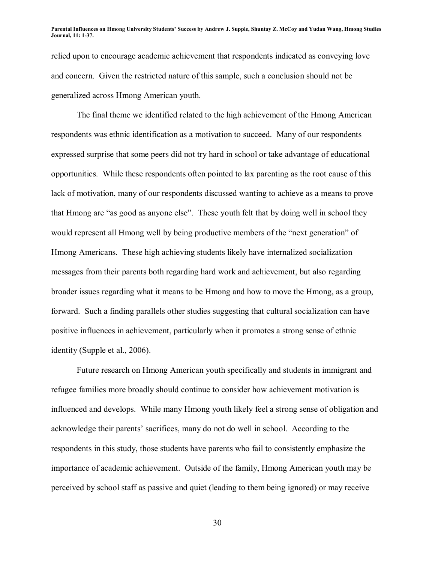relied upon to encourage academic achievement that respondents indicated as conveying love and concern. Given the restricted nature of this sample, such a conclusion should not be generalized across Hmong American youth.

 The final theme we identified related to the high achievement of the Hmong American respondents was ethnic identification as a motivation to succeed. Many of our respondents expressed surprise that some peers did not try hard in school or take advantage of educational opportunities. While these respondents often pointed to lax parenting as the root cause of this lack of motivation, many of our respondents discussed wanting to achieve as a means to prove that Hmong are "as good as anyone else". These youth felt that by doing well in school they would represent all Hmong well by being productive members of the "next generation" of Hmong Americans. These high achieving students likely have internalized socialization messages from their parents both regarding hard work and achievement, but also regarding broader issues regarding what it means to be Hmong and how to move the Hmong, as a group, forward. Such a finding parallels other studies suggesting that cultural socialization can have positive influences in achievement, particularly when it promotes a strong sense of ethnic identity (Supple et al., 2006).

 Future research on Hmong American youth specifically and students in immigrant and refugee families more broadly should continue to consider how achievement motivation is influenced and develops. While many Hmong youth likely feel a strong sense of obligation and acknowledge their parentsí sacrifices, many do not do well in school. According to the respondents in this study, those students have parents who fail to consistently emphasize the importance of academic achievement. Outside of the family, Hmong American youth may be perceived by school staff as passive and quiet (leading to them being ignored) or may receive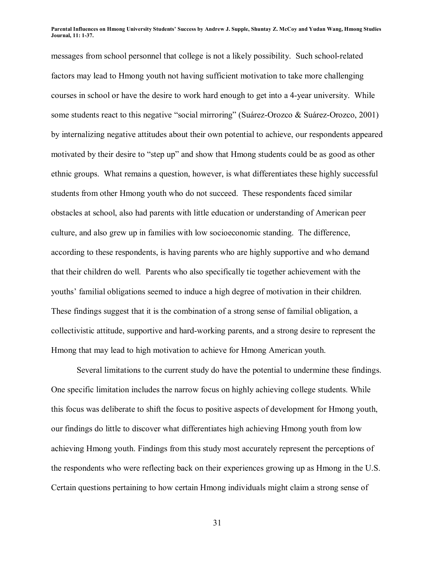messages from school personnel that college is not a likely possibility. Such school-related factors may lead to Hmong youth not having sufficient motivation to take more challenging courses in school or have the desire to work hard enough to get into a 4-year university. While some students react to this negative "social mirroring" (Suárez-Orozco & Suárez-Orozco, 2001) by internalizing negative attitudes about their own potential to achieve, our respondents appeared motivated by their desire to "step up" and show that Hmong students could be as good as other ethnic groups. What remains a question, however, is what differentiates these highly successful students from other Hmong youth who do not succeed. These respondents faced similar obstacles at school, also had parents with little education or understanding of American peer culture, and also grew up in families with low socioeconomic standing. The difference, according to these respondents, is having parents who are highly supportive and who demand that their children do well. Parents who also specifically tie together achievement with the youths' familial obligations seemed to induce a high degree of motivation in their children. These findings suggest that it is the combination of a strong sense of familial obligation, a collectivistic attitude, supportive and hard-working parents, and a strong desire to represent the Hmong that may lead to high motivation to achieve for Hmong American youth.

 Several limitations to the current study do have the potential to undermine these findings. One specific limitation includes the narrow focus on highly achieving college students. While this focus was deliberate to shift the focus to positive aspects of development for Hmong youth, our findings do little to discover what differentiates high achieving Hmong youth from low achieving Hmong youth. Findings from this study most accurately represent the perceptions of the respondents who were reflecting back on their experiences growing up as Hmong in the U.S. Certain questions pertaining to how certain Hmong individuals might claim a strong sense of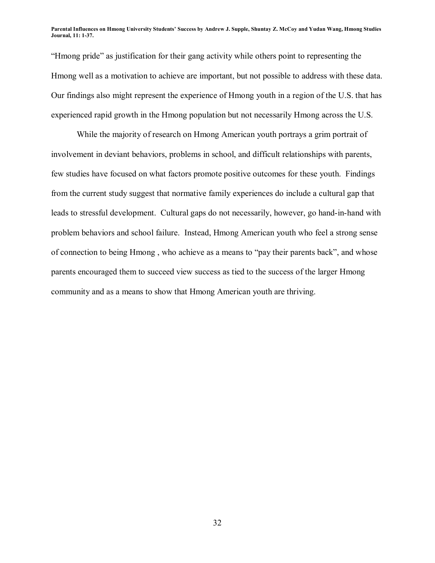ìHmong prideî as justification for their gang activity while others point to representing the Hmong well as a motivation to achieve are important, but not possible to address with these data. Our findings also might represent the experience of Hmong youth in a region of the U.S. that has experienced rapid growth in the Hmong population but not necessarily Hmong across the U.S.

 While the majority of research on Hmong American youth portrays a grim portrait of involvement in deviant behaviors, problems in school, and difficult relationships with parents, few studies have focused on what factors promote positive outcomes for these youth. Findings from the current study suggest that normative family experiences do include a cultural gap that leads to stressful development. Cultural gaps do not necessarily, however, go hand-in-hand with problem behaviors and school failure. Instead, Hmong American youth who feel a strong sense of connection to being Hmong, who achieve as a means to "pay their parents back", and whose parents encouraged them to succeed view success as tied to the success of the larger Hmong community and as a means to show that Hmong American youth are thriving.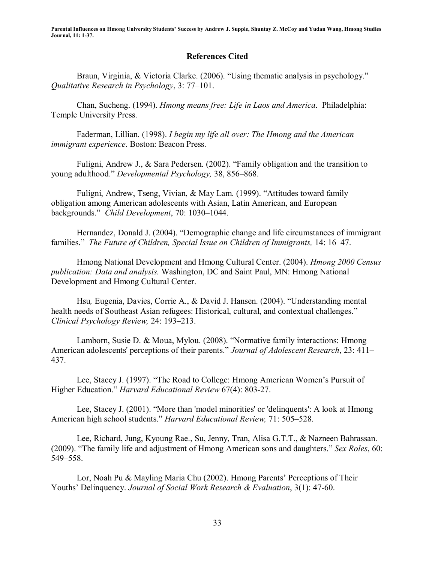### **References Cited**

Braun, Virginia, & Victoria Clarke. (2006). "Using thematic analysis in psychology." *Qualitative Research in Psychology*, 3: 77-101.

Chan, Sucheng. (1994). *Hmong means free: Life in Laos and America*. Philadelphia: Temple University Press.

Faderman, Lillian. (1998). *I begin my life all over: The Hmong and the American immigrant experience*. Boston: Beacon Press.

Fuligni, Andrew J.,  $&$  Sara Pedersen. (2002). "Family obligation and the transition to young adulthood." *Developmental Psychology*, 38, 856–868.

Fuligni, Andrew, Tseng, Vivian,  $\&$  May Lam. (1999). "Attitudes toward family obligation among American adolescents with Asian, Latin American, and European backgrounds." *Child Development*, 70: 1030-1044.

Hernandez, Donald J. (2004). "Demographic change and life circumstances of immigrant families." *The Future of Children, Special Issue on Children of Immigrants, 14:16-47.* 

Hmong National Development and Hmong Cultural Center. (2004). *Hmong 2000 Census publication: Data and analysis.* Washington, DC and Saint Paul, MN: Hmong National Development and Hmong Cultural Center.

Hsu, Eugenia, Davies, Corrie A., & David J. Hansen. (2004). "Understanding mental health needs of Southeast Asian refugees: Historical, cultural, and contextual challenges.<sup>"</sup> *Clinical Psychology Review, 24: 193-213.* 

Lamborn, Susie D. & Moua, Mylou. (2008). "Normative family interactions: Hmong American adolescents' perceptions of their parents." *Journal of Adolescent Research*, 23: 411– 437.

Lee, Stacey J. (1997). "The Road to College: Hmong American Women's Pursuit of Higher Education.î *Harvard Educational Review* 67(4): 803-27.

Lee, Stacey J. (2001). "More than 'model minorities' or 'delinguents': A look at Hmong American high school students." *Harvard Educational Review*, 71: 505–528.

Lee, Richard, Jung, Kyoung Rae., Su, Jenny, Tran, Alisa G.T.T., & Nazneen Bahrassan. (2009). "The family life and adjustment of Hmong American sons and daughters." *Sex Roles*, 60: 549–558.

Lor, Noah Pu & Mayling Maria Chu (2002). Hmong Parents' Perceptions of Their Youths' Delinquency. *Journal of Social Work Research & Evaluation*, 3(1): 47-60.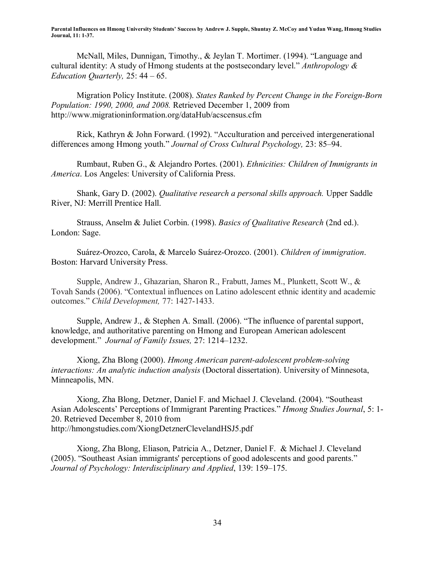McNall, Miles, Dunnigan, Timothy., & Jeylan T. Mortimer. (1994). "Language and cultural identity: A study of Hmong students at the postsecondary level." *Anthropology & Education Quarterly, 25:* 44 – 65.

Migration Policy Institute. (2008). *States Ranked by Percent Change in the Foreign-Born Population: 1990, 2000, and 2008.* Retrieved December 1, 2009 from http://www.migrationinformation.org/dataHub/acscensus.cfm

Rick, Kathryn & John Forward.  $(1992)$ . "Acculturation and perceived intergenerational differences among Hmong youth." *Journal of Cross Cultural Psychology*, 23: 85–94.

Rumbaut, Ruben G., & Alejandro Portes. (2001). *Ethnicities: Children of Immigrants in America*. Los Angeles: University of California Press.

Shank, Gary D. (2002). *Qualitative research a personal skills approach.* Upper Saddle River, NJ: Merrill Prentice Hall.

Strauss, Anselm & Juliet Corbin. (1998). *Basics of Qualitative Research* (2nd ed.). London: Sage.

Suárez-Orozco, Carola, & Marcelo Suárez-Orozco. (2001). *Children of immigration*. Boston: Harvard University Press.

Supple, Andrew J., Ghazarian, Sharon R., Frabutt, James M., Plunkett, Scott W., & Tovah Sands (2006). "Contextual influences on Latino adolescent ethnic identity and academic outcomes.î *Child Development,* 77: 1427-1433.

Supple, Andrew J.,  $&$  Stephen A. Small. (2006). "The influence of parental support, knowledge, and authoritative parenting on Hmong and European American adolescent development." *Journal of Family Issues*, 27: 1214–1232.

Xiong, Zha Blong (2000). *Hmong American parent-adolescent problem-solving interactions: An analytic induction analysis* (Doctoral dissertation). University of Minnesota, Minneapolis, MN.

Xiong, Zha Blong, Detzner, Daniel F. and Michael J. Cleveland. (2004). "Southeast Asian Adolescents' Perceptions of Immigrant Parenting Practices." *Hmong Studies Journal*, 5: 1-20. Retrieved December 8, 2010 from http://hmongstudies.com/XiongDetznerClevelandHSJ5.pdf

Xiong, Zha Blong, Eliason, Patricia A., Detzner, Daniel F. & Michael J. Cleveland (2005). "Southeast Asian immigrants' perceptions of good adolescents and good parents." *Journal of Psychology: Interdisciplinary and Applied, 139: 159–175.*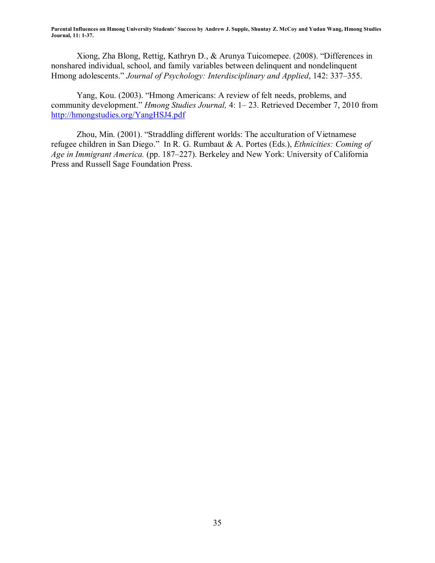Xiong, Zha Blong, Rettig, Kathryn D., & Arunya Tuicomepee. (2008). "Differences in nonshared individual, school, and family variables between delinquent and nondelinquent Hmong adolescents." *Journal of Psychology: Interdisciplinary and Applied*, 142: 337–355.

Yang, Kou. (2003). "Hmong Americans: A review of felt needs, problems, and community development." *Hmong Studies Journal*, 4: 1-23. Retrieved December 7, 2010 from http://hmongstudies.org/YangHSJ4.pdf

Zhou, Min. (2001). "Straddling different worlds: The acculturation of Vietnamese refugee children in San Diego." In R. G. Rumbaut & A. Portes (Eds.), *Ethnicities: Coming of Age in Immigrant America.* (pp. 187–227). Berkeley and New York: University of California Press and Russell Sage Foundation Press.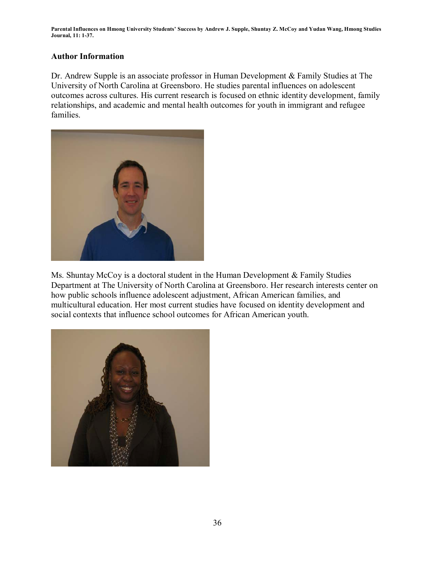## **Author Information**

Dr. Andrew Supple is an associate professor in Human Development & Family Studies at The University of North Carolina at Greensboro. He studies parental influences on adolescent outcomes across cultures. His current research is focused on ethnic identity development, family relationships, and academic and mental health outcomes for youth in immigrant and refugee families.



Ms. Shuntay McCoy is a doctoral student in the Human Development & Family Studies Department at The University of North Carolina at Greensboro. Her research interests center on how public schools influence adolescent adjustment, African American families, and multicultural education. Her most current studies have focused on identity development and social contexts that influence school outcomes for African American youth.